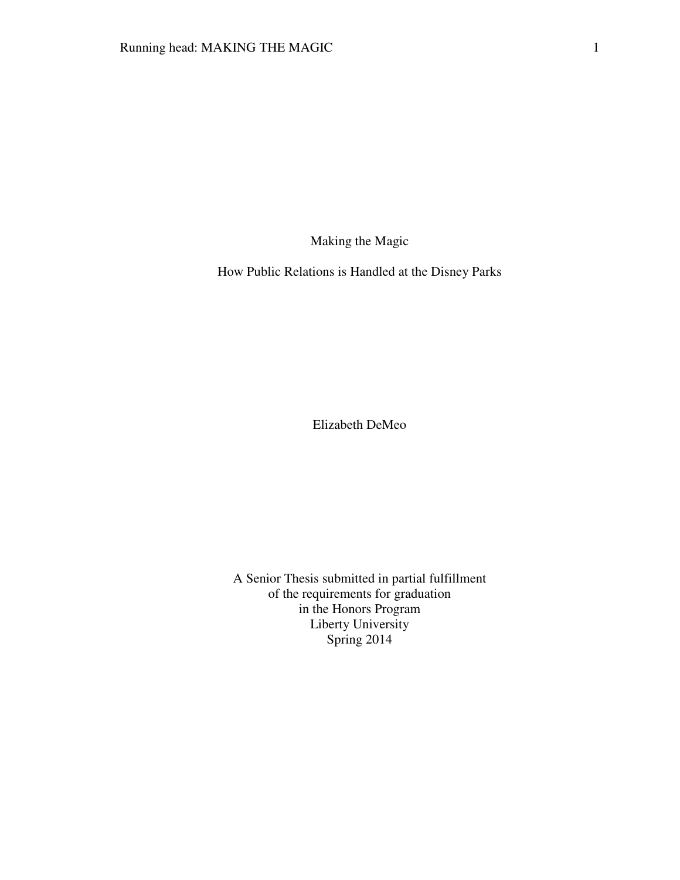Making the Magic

How Public Relations is Handled at the Disney Parks

Elizabeth DeMeo

A Senior Thesis submitted in partial fulfillment of the requirements for graduation in the Honors Program Liberty University Spring 2014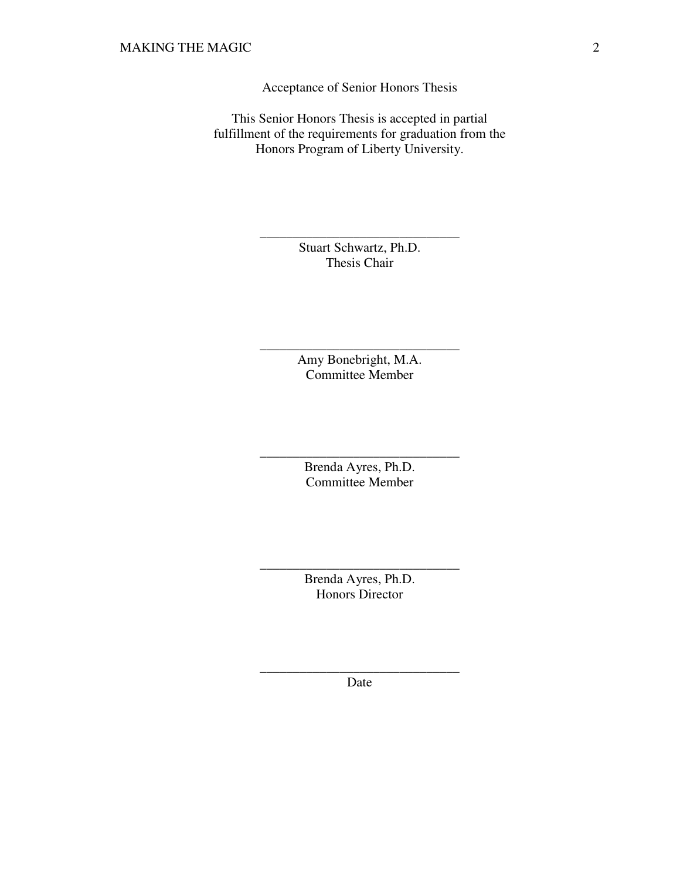Acceptance of Senior Honors Thesis

This Senior Honors Thesis is accepted in partial fulfillment of the requirements for graduation from the Honors Program of Liberty University.

> Stuart Schwartz, Ph.D. Thesis Chair

\_\_\_\_\_\_\_\_\_\_\_\_\_\_\_\_\_\_\_\_\_\_\_\_\_\_\_\_\_\_

Amy Bonebright, M.A. Committee Member

\_\_\_\_\_\_\_\_\_\_\_\_\_\_\_\_\_\_\_\_\_\_\_\_\_\_\_\_\_\_

Brenda Ayres, Ph.D. Committee Member

\_\_\_\_\_\_\_\_\_\_\_\_\_\_\_\_\_\_\_\_\_\_\_\_\_\_\_\_\_\_

Brenda Ayres, Ph.D. Honors Director

\_\_\_\_\_\_\_\_\_\_\_\_\_\_\_\_\_\_\_\_\_\_\_\_\_\_\_\_\_\_

\_\_\_\_\_\_\_\_\_\_\_\_\_\_\_\_\_\_\_\_\_\_\_\_\_\_\_\_\_\_ Date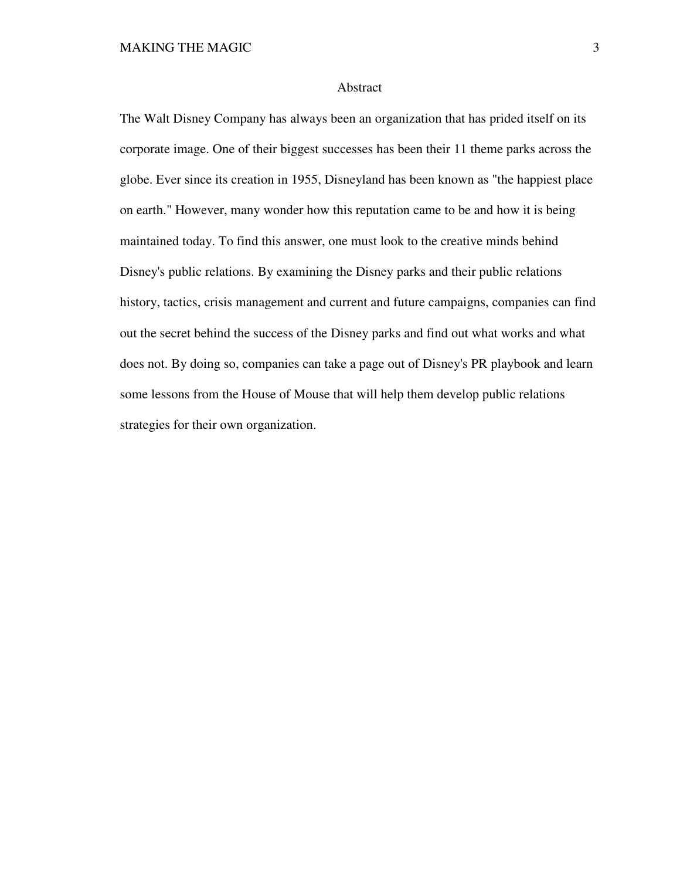#### Abstract

The Walt Disney Company has always been an organization that has prided itself on its corporate image. One of their biggest successes has been their 11 theme parks across the globe. Ever since its creation in 1955, Disneyland has been known as "the happiest place on earth." However, many wonder how this reputation came to be and how it is being maintained today. To find this answer, one must look to the creative minds behind Disney's public relations. By examining the Disney parks and their public relations history, tactics, crisis management and current and future campaigns, companies can find out the secret behind the success of the Disney parks and find out what works and what does not. By doing so, companies can take a page out of Disney's PR playbook and learn some lessons from the House of Mouse that will help them develop public relations strategies for their own organization.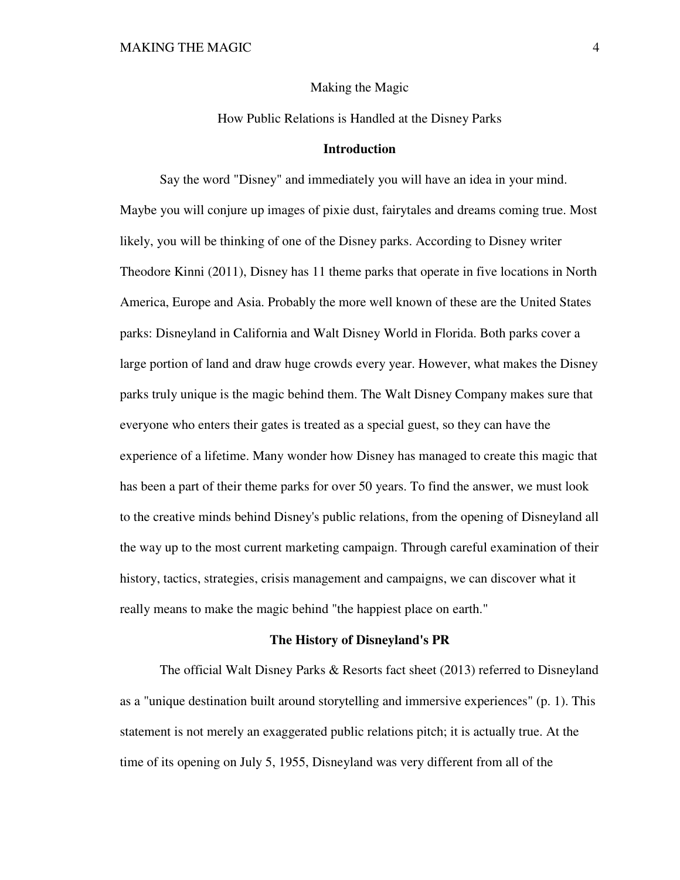Making the Magic

How Public Relations is Handled at the Disney Parks

### **Introduction**

 Say the word "Disney" and immediately you will have an idea in your mind. Maybe you will conjure up images of pixie dust, fairytales and dreams coming true. Most likely, you will be thinking of one of the Disney parks. According to Disney writer Theodore Kinni (2011), Disney has 11 theme parks that operate in five locations in North America, Europe and Asia. Probably the more well known of these are the United States parks: Disneyland in California and Walt Disney World in Florida. Both parks cover a large portion of land and draw huge crowds every year. However, what makes the Disney parks truly unique is the magic behind them. The Walt Disney Company makes sure that everyone who enters their gates is treated as a special guest, so they can have the experience of a lifetime. Many wonder how Disney has managed to create this magic that has been a part of their theme parks for over 50 years. To find the answer, we must look to the creative minds behind Disney's public relations, from the opening of Disneyland all the way up to the most current marketing campaign. Through careful examination of their history, tactics, strategies, crisis management and campaigns, we can discover what it really means to make the magic behind "the happiest place on earth."

# **The History of Disneyland's PR**

 The official Walt Disney Parks & Resorts fact sheet (2013) referred to Disneyland as a "unique destination built around storytelling and immersive experiences" (p. 1). This statement is not merely an exaggerated public relations pitch; it is actually true. At the time of its opening on July 5, 1955, Disneyland was very different from all of the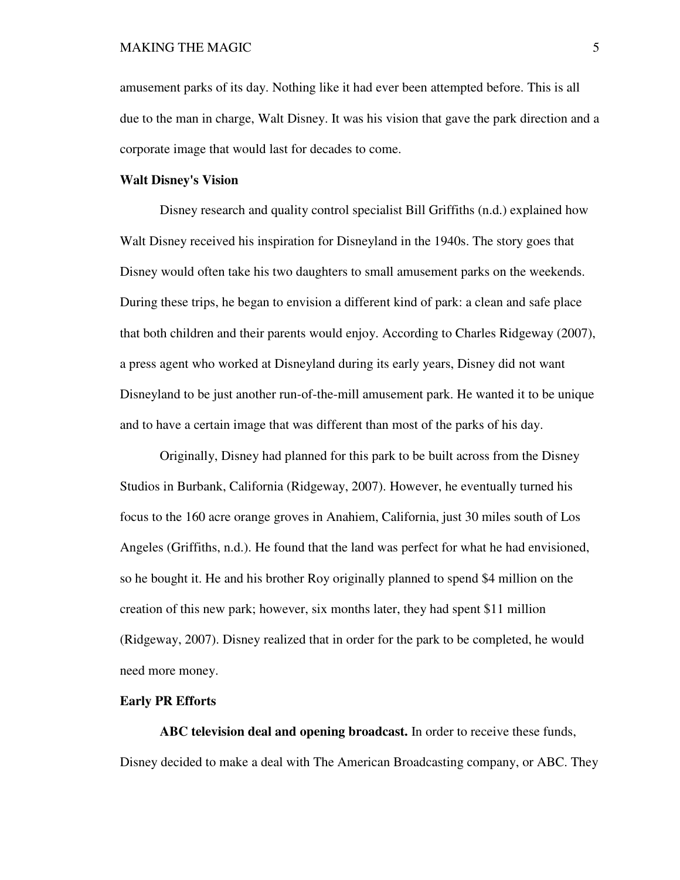amusement parks of its day. Nothing like it had ever been attempted before. This is all due to the man in charge, Walt Disney. It was his vision that gave the park direction and a corporate image that would last for decades to come.

## **Walt Disney's Vision**

Disney research and quality control specialist Bill Griffiths (n.d.) explained how Walt Disney received his inspiration for Disneyland in the 1940s. The story goes that Disney would often take his two daughters to small amusement parks on the weekends. During these trips, he began to envision a different kind of park: a clean and safe place that both children and their parents would enjoy. According to Charles Ridgeway (2007), a press agent who worked at Disneyland during its early years, Disney did not want Disneyland to be just another run-of-the-mill amusement park. He wanted it to be unique and to have a certain image that was different than most of the parks of his day.

 Originally, Disney had planned for this park to be built across from the Disney Studios in Burbank, California (Ridgeway, 2007). However, he eventually turned his focus to the 160 acre orange groves in Anahiem, California, just 30 miles south of Los Angeles (Griffiths, n.d.). He found that the land was perfect for what he had envisioned, so he bought it. He and his brother Roy originally planned to spend \$4 million on the creation of this new park; however, six months later, they had spent \$11 million (Ridgeway, 2007). Disney realized that in order for the park to be completed, he would need more money.

### **Early PR Efforts**

 **ABC television deal and opening broadcast.** In order to receive these funds, Disney decided to make a deal with The American Broadcasting company, or ABC. They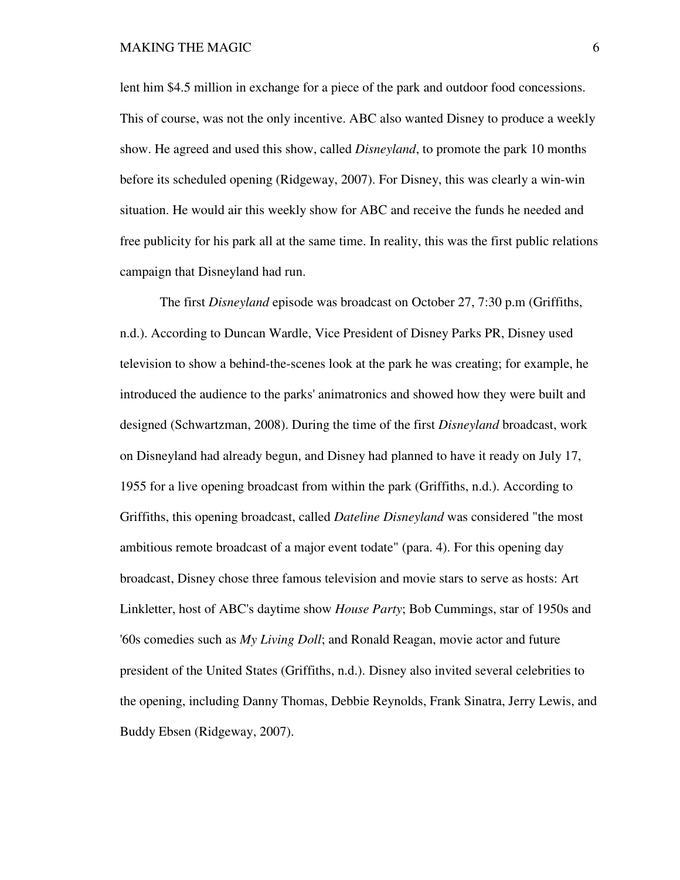lent him \$4.5 million in exchange for a piece of the park and outdoor food concessions. This of course, was not the only incentive. ABC also wanted Disney to produce a weekly show. He agreed and used this show, called *Disneyland*, to promote the park 10 months before its scheduled opening (Ridgeway, 2007). For Disney, this was clearly a win-win situation. He would air this weekly show for ABC and receive the funds he needed and free publicity for his park all at the same time. In reality, this was the first public relations campaign that Disneyland had run.

The first *Disneyland* episode was broadcast on October 27, 7:30 p.m (Griffiths, n.d.). According to Duncan Wardle, Vice President of Disney Parks PR, Disney used television to show a behind-the-scenes look at the park he was creating; for example, he introduced the audience to the parks' animatronics and showed how they were built and designed (Schwartzman, 2008). During the time of the first *Disneyland* broadcast, work on Disneyland had already begun, and Disney had planned to have it ready on July 17, 1955 for a live opening broadcast from within the park (Griffiths, n.d.). According to Griffiths, this opening broadcast, called *Dateline Disneyland* was considered "the most ambitious remote broadcast of a major event todate" (para. 4). For this opening day broadcast, Disney chose three famous television and movie stars to serve as hosts: Art Linkletter, host of ABC's daytime show *House Party*; Bob Cummings, star of 1950s and '60s comedies such as *My Living Doll*; and Ronald Reagan, movie actor and future president of the United States (Griffiths, n.d.). Disney also invited several celebrities to the opening, including Danny Thomas, Debbie Reynolds, Frank Sinatra, Jerry Lewis, and Buddy Ebsen (Ridgeway, 2007).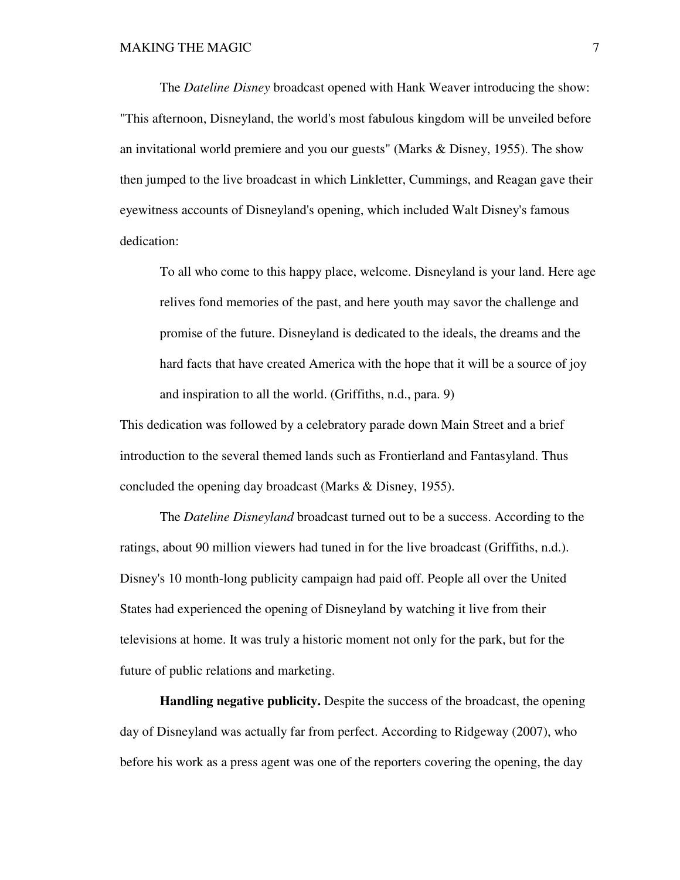The *Dateline Disney* broadcast opened with Hank Weaver introducing the show: "This afternoon, Disneyland, the world's most fabulous kingdom will be unveiled before an invitational world premiere and you our guests" (Marks & Disney, 1955). The show then jumped to the live broadcast in which Linkletter, Cummings, and Reagan gave their eyewitness accounts of Disneyland's opening, which included Walt Disney's famous dedication:

 To all who come to this happy place, welcome. Disneyland is your land. Here age relives fond memories of the past, and here youth may savor the challenge and promise of the future. Disneyland is dedicated to the ideals, the dreams and the hard facts that have created America with the hope that it will be a source of joy and inspiration to all the world. (Griffiths, n.d., para. 9)

This dedication was followed by a celebratory parade down Main Street and a brief introduction to the several themed lands such as Frontierland and Fantasyland. Thus concluded the opening day broadcast (Marks & Disney, 1955).

 The *Dateline Disneyland* broadcast turned out to be a success. According to the ratings, about 90 million viewers had tuned in for the live broadcast (Griffiths, n.d.). Disney's 10 month-long publicity campaign had paid off. People all over the United States had experienced the opening of Disneyland by watching it live from their televisions at home. It was truly a historic moment not only for the park, but for the future of public relations and marketing.

 **Handling negative publicity.** Despite the success of the broadcast, the opening day of Disneyland was actually far from perfect. According to Ridgeway (2007), who before his work as a press agent was one of the reporters covering the opening, the day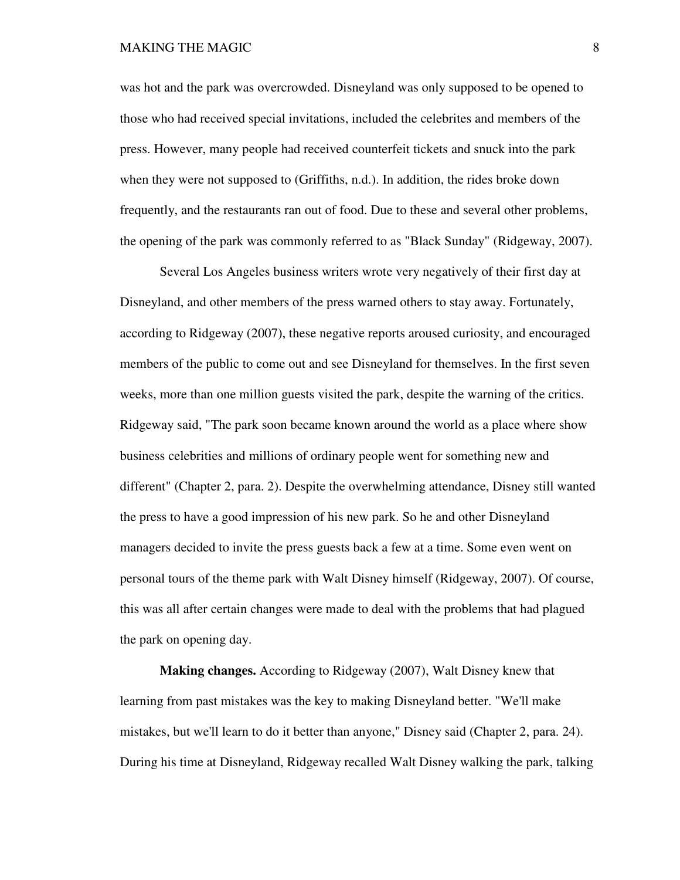### MAKING THE MAGIC **8** 8

was hot and the park was overcrowded. Disneyland was only supposed to be opened to those who had received special invitations, included the celebrites and members of the press. However, many people had received counterfeit tickets and snuck into the park when they were not supposed to (Griffiths, n.d.). In addition, the rides broke down frequently, and the restaurants ran out of food. Due to these and several other problems, the opening of the park was commonly referred to as "Black Sunday" (Ridgeway, 2007).

 Several Los Angeles business writers wrote very negatively of their first day at Disneyland, and other members of the press warned others to stay away. Fortunately, according to Ridgeway (2007), these negative reports aroused curiosity, and encouraged members of the public to come out and see Disneyland for themselves. In the first seven weeks, more than one million guests visited the park, despite the warning of the critics. Ridgeway said, "The park soon became known around the world as a place where show business celebrities and millions of ordinary people went for something new and different" (Chapter 2, para. 2). Despite the overwhelming attendance, Disney still wanted the press to have a good impression of his new park. So he and other Disneyland managers decided to invite the press guests back a few at a time. Some even went on personal tours of the theme park with Walt Disney himself (Ridgeway, 2007). Of course, this was all after certain changes were made to deal with the problems that had plagued the park on opening day.

 **Making changes.** According to Ridgeway (2007), Walt Disney knew that learning from past mistakes was the key to making Disneyland better. "We'll make mistakes, but we'll learn to do it better than anyone," Disney said (Chapter 2, para. 24). During his time at Disneyland, Ridgeway recalled Walt Disney walking the park, talking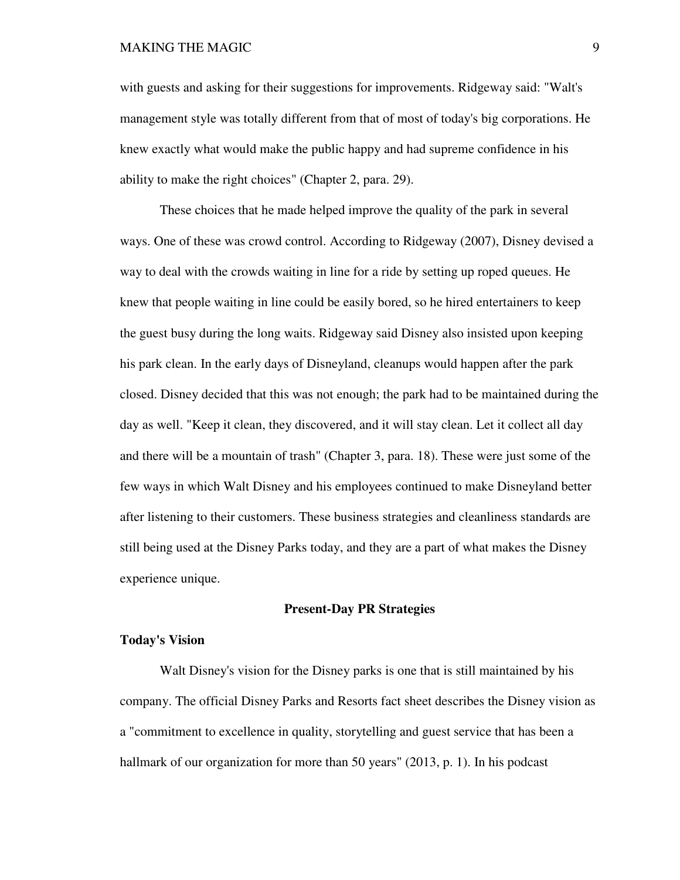# MAKING THE MAGIC 9

with guests and asking for their suggestions for improvements. Ridgeway said: "Walt's management style was totally different from that of most of today's big corporations. He knew exactly what would make the public happy and had supreme confidence in his ability to make the right choices" (Chapter 2, para. 29).

 These choices that he made helped improve the quality of the park in several ways. One of these was crowd control. According to Ridgeway (2007), Disney devised a way to deal with the crowds waiting in line for a ride by setting up roped queues. He knew that people waiting in line could be easily bored, so he hired entertainers to keep the guest busy during the long waits. Ridgeway said Disney also insisted upon keeping his park clean. In the early days of Disneyland, cleanups would happen after the park closed. Disney decided that this was not enough; the park had to be maintained during the day as well. "Keep it clean, they discovered, and it will stay clean. Let it collect all day and there will be a mountain of trash" (Chapter 3, para. 18). These were just some of the few ways in which Walt Disney and his employees continued to make Disneyland better after listening to their customers. These business strategies and cleanliness standards are still being used at the Disney Parks today, and they are a part of what makes the Disney experience unique.

### **Present-Day PR Strategies**

### **Today's Vision**

 Walt Disney's vision for the Disney parks is one that is still maintained by his company. The official Disney Parks and Resorts fact sheet describes the Disney vision as a "commitment to excellence in quality, storytelling and guest service that has been a hallmark of our organization for more than 50 years" (2013, p. 1). In his podcast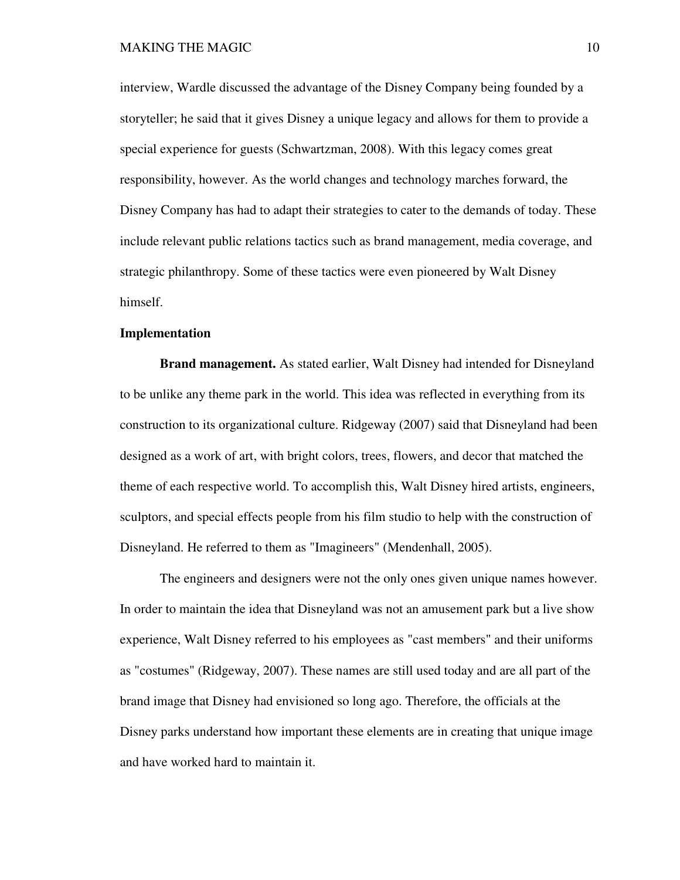interview, Wardle discussed the advantage of the Disney Company being founded by a storyteller; he said that it gives Disney a unique legacy and allows for them to provide a special experience for guests (Schwartzman, 2008). With this legacy comes great responsibility, however. As the world changes and technology marches forward, the Disney Company has had to adapt their strategies to cater to the demands of today. These include relevant public relations tactics such as brand management, media coverage, and strategic philanthropy. Some of these tactics were even pioneered by Walt Disney himself.

## **Implementation**

 **Brand management.** As stated earlier, Walt Disney had intended for Disneyland to be unlike any theme park in the world. This idea was reflected in everything from its construction to its organizational culture. Ridgeway (2007) said that Disneyland had been designed as a work of art, with bright colors, trees, flowers, and decor that matched the theme of each respective world. To accomplish this, Walt Disney hired artists, engineers, sculptors, and special effects people from his film studio to help with the construction of Disneyland. He referred to them as "Imagineers" (Mendenhall, 2005).

 The engineers and designers were not the only ones given unique names however. In order to maintain the idea that Disneyland was not an amusement park but a live show experience, Walt Disney referred to his employees as "cast members" and their uniforms as "costumes" (Ridgeway, 2007). These names are still used today and are all part of the brand image that Disney had envisioned so long ago. Therefore, the officials at the Disney parks understand how important these elements are in creating that unique image and have worked hard to maintain it.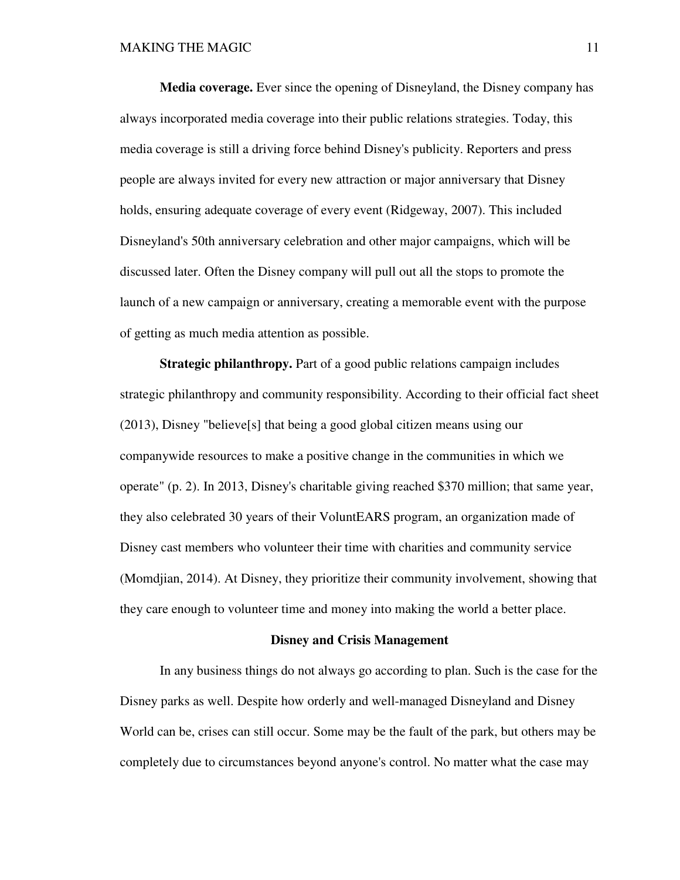**Media coverage.** Ever since the opening of Disneyland, the Disney company has always incorporated media coverage into their public relations strategies. Today, this media coverage is still a driving force behind Disney's publicity. Reporters and press people are always invited for every new attraction or major anniversary that Disney holds, ensuring adequate coverage of every event (Ridgeway, 2007). This included Disneyland's 50th anniversary celebration and other major campaigns, which will be discussed later. Often the Disney company will pull out all the stops to promote the launch of a new campaign or anniversary, creating a memorable event with the purpose of getting as much media attention as possible.

**Strategic philanthropy.** Part of a good public relations campaign includes strategic philanthropy and community responsibility. According to their official fact sheet (2013), Disney "believe[s] that being a good global citizen means using our companywide resources to make a positive change in the communities in which we operate" (p. 2). In 2013, Disney's charitable giving reached \$370 million; that same year, they also celebrated 30 years of their VoluntEARS program, an organization made of Disney cast members who volunteer their time with charities and community service (Momdjian, 2014). At Disney, they prioritize their community involvement, showing that they care enough to volunteer time and money into making the world a better place.

#### **Disney and Crisis Management**

 In any business things do not always go according to plan. Such is the case for the Disney parks as well. Despite how orderly and well-managed Disneyland and Disney World can be, crises can still occur. Some may be the fault of the park, but others may be completely due to circumstances beyond anyone's control. No matter what the case may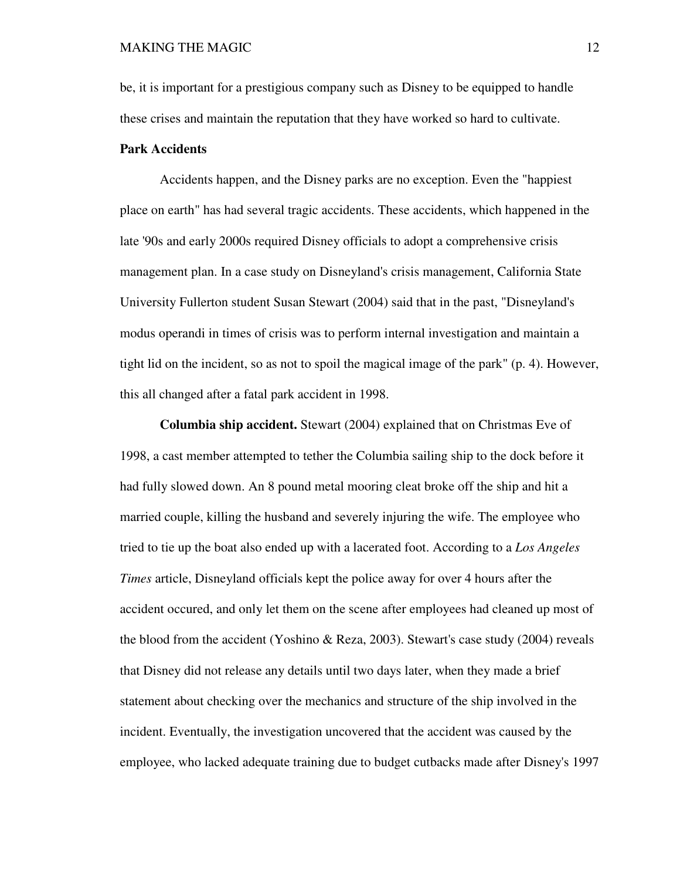be, it is important for a prestigious company such as Disney to be equipped to handle these crises and maintain the reputation that they have worked so hard to cultivate.

# **Park Accidents**

 Accidents happen, and the Disney parks are no exception. Even the "happiest place on earth" has had several tragic accidents. These accidents, which happened in the late '90s and early 2000s required Disney officials to adopt a comprehensive crisis management plan. In a case study on Disneyland's crisis management, California State University Fullerton student Susan Stewart (2004) said that in the past, "Disneyland's modus operandi in times of crisis was to perform internal investigation and maintain a tight lid on the incident, so as not to spoil the magical image of the park" (p. 4). However, this all changed after a fatal park accident in 1998.

 **Columbia ship accident.** Stewart (2004) explained that on Christmas Eve of 1998, a cast member attempted to tether the Columbia sailing ship to the dock before it had fully slowed down. An 8 pound metal mooring cleat broke off the ship and hit a married couple, killing the husband and severely injuring the wife. The employee who tried to tie up the boat also ended up with a lacerated foot. According to a *Los Angeles Times* article, Disneyland officials kept the police away for over 4 hours after the accident occured, and only let them on the scene after employees had cleaned up most of the blood from the accident (Yoshino & Reza, 2003). Stewart's case study (2004) reveals that Disney did not release any details until two days later, when they made a brief statement about checking over the mechanics and structure of the ship involved in the incident. Eventually, the investigation uncovered that the accident was caused by the employee, who lacked adequate training due to budget cutbacks made after Disney's 1997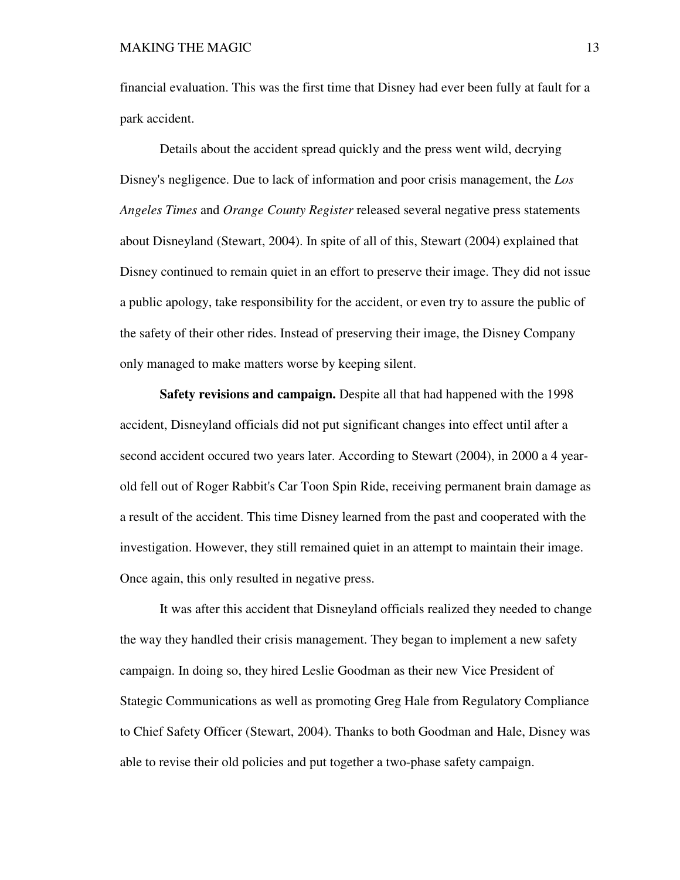financial evaluation. This was the first time that Disney had ever been fully at fault for a park accident.

 Details about the accident spread quickly and the press went wild, decrying Disney's negligence. Due to lack of information and poor crisis management, the *Los Angeles Times* and *Orange County Register* released several negative press statements about Disneyland (Stewart, 2004). In spite of all of this, Stewart (2004) explained that Disney continued to remain quiet in an effort to preserve their image. They did not issue a public apology, take responsibility for the accident, or even try to assure the public of the safety of their other rides. Instead of preserving their image, the Disney Company only managed to make matters worse by keeping silent.

 **Safety revisions and campaign.** Despite all that had happened with the 1998 accident, Disneyland officials did not put significant changes into effect until after a second accident occured two years later. According to Stewart (2004), in 2000 a 4 yearold fell out of Roger Rabbit's Car Toon Spin Ride, receiving permanent brain damage as a result of the accident. This time Disney learned from the past and cooperated with the investigation. However, they still remained quiet in an attempt to maintain their image. Once again, this only resulted in negative press.

 It was after this accident that Disneyland officials realized they needed to change the way they handled their crisis management. They began to implement a new safety campaign. In doing so, they hired Leslie Goodman as their new Vice President of Stategic Communications as well as promoting Greg Hale from Regulatory Compliance to Chief Safety Officer (Stewart, 2004). Thanks to both Goodman and Hale, Disney was able to revise their old policies and put together a two-phase safety campaign.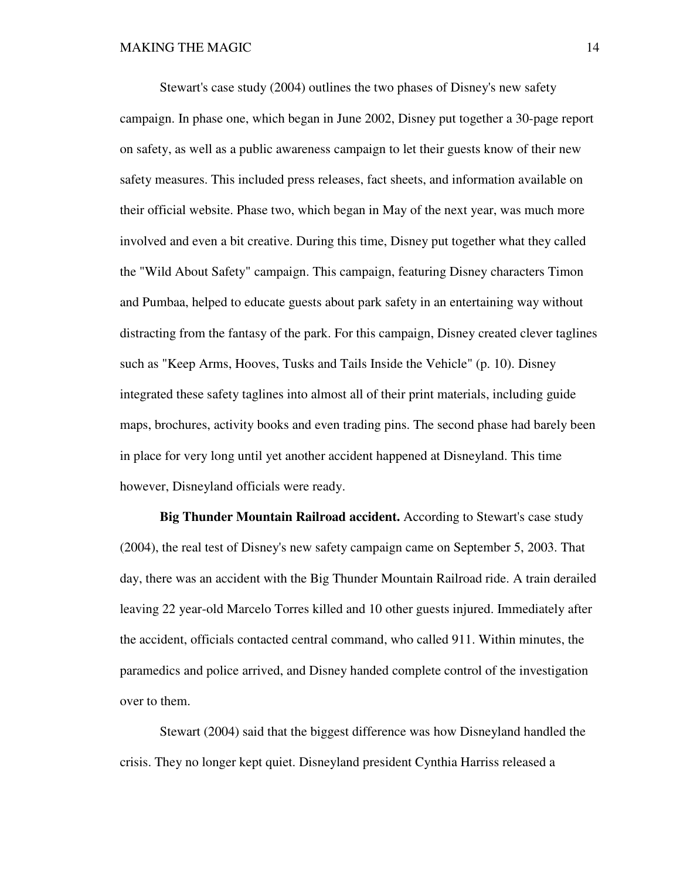Stewart's case study (2004) outlines the two phases of Disney's new safety campaign. In phase one, which began in June 2002, Disney put together a 30-page report on safety, as well as a public awareness campaign to let their guests know of their new safety measures. This included press releases, fact sheets, and information available on their official website. Phase two, which began in May of the next year, was much more involved and even a bit creative. During this time, Disney put together what they called the "Wild About Safety" campaign. This campaign, featuring Disney characters Timon and Pumbaa, helped to educate guests about park safety in an entertaining way without distracting from the fantasy of the park. For this campaign, Disney created clever taglines such as "Keep Arms, Hooves, Tusks and Tails Inside the Vehicle" (p. 10). Disney integrated these safety taglines into almost all of their print materials, including guide maps, brochures, activity books and even trading pins. The second phase had barely been in place for very long until yet another accident happened at Disneyland. This time however, Disneyland officials were ready.

 **Big Thunder Mountain Railroad accident.** According to Stewart's case study (2004), the real test of Disney's new safety campaign came on September 5, 2003. That day, there was an accident with the Big Thunder Mountain Railroad ride. A train derailed leaving 22 year-old Marcelo Torres killed and 10 other guests injured. Immediately after the accident, officials contacted central command, who called 911. Within minutes, the paramedics and police arrived, and Disney handed complete control of the investigation over to them.

 Stewart (2004) said that the biggest difference was how Disneyland handled the crisis. They no longer kept quiet. Disneyland president Cynthia Harriss released a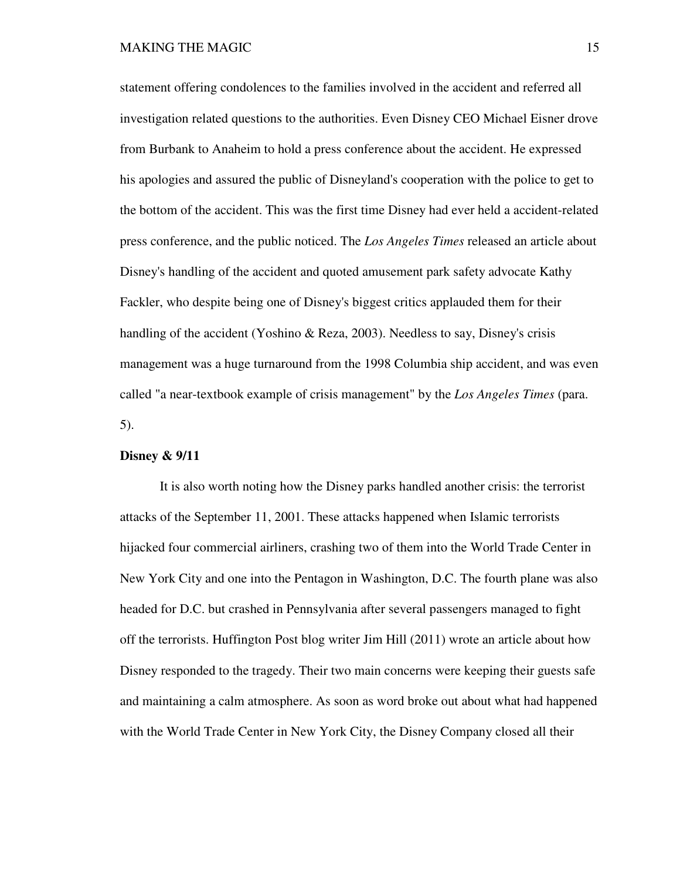statement offering condolences to the families involved in the accident and referred all investigation related questions to the authorities. Even Disney CEO Michael Eisner drove from Burbank to Anaheim to hold a press conference about the accident. He expressed his apologies and assured the public of Disneyland's cooperation with the police to get to the bottom of the accident. This was the first time Disney had ever held a accident-related press conference, and the public noticed. The *Los Angeles Times* released an article about Disney's handling of the accident and quoted amusement park safety advocate Kathy Fackler, who despite being one of Disney's biggest critics applauded them for their handling of the accident (Yoshino & Reza, 2003). Needless to say, Disney's crisis management was a huge turnaround from the 1998 Columbia ship accident, and was even called "a near-textbook example of crisis management" by the *Los Angeles Times* (para. 5).

# **Disney & 9/11**

 It is also worth noting how the Disney parks handled another crisis: the terrorist attacks of the September 11, 2001. These attacks happened when Islamic terrorists hijacked four commercial airliners, crashing two of them into the World Trade Center in New York City and one into the Pentagon in Washington, D.C. The fourth plane was also headed for D.C. but crashed in Pennsylvania after several passengers managed to fight off the terrorists. Huffington Post blog writer Jim Hill (2011) wrote an article about how Disney responded to the tragedy. Their two main concerns were keeping their guests safe and maintaining a calm atmosphere. As soon as word broke out about what had happened with the World Trade Center in New York City, the Disney Company closed all their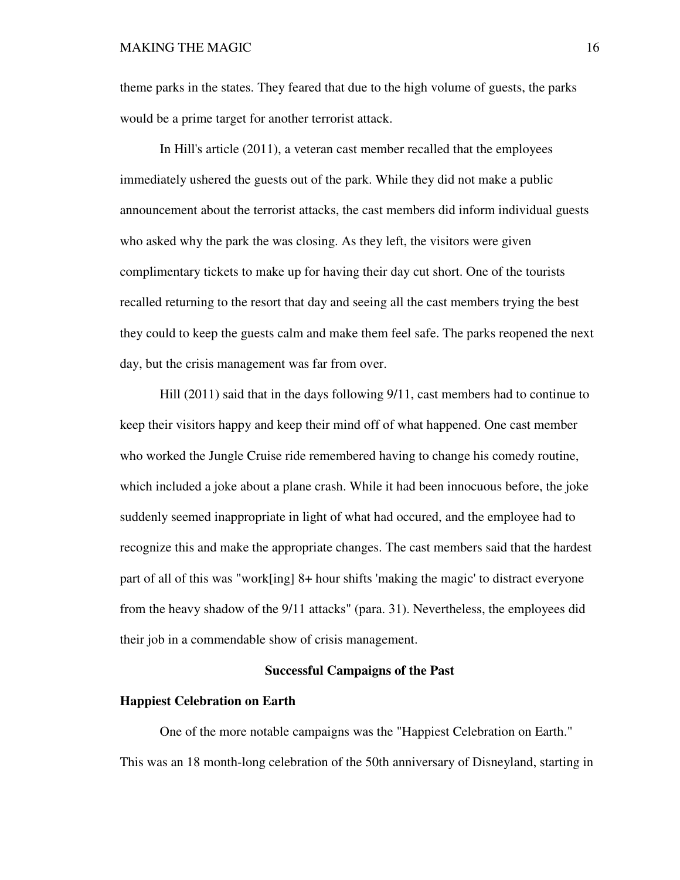theme parks in the states. They feared that due to the high volume of guests, the parks would be a prime target for another terrorist attack.

 In Hill's article (2011), a veteran cast member recalled that the employees immediately ushered the guests out of the park. While they did not make a public announcement about the terrorist attacks, the cast members did inform individual guests who asked why the park the was closing. As they left, the visitors were given complimentary tickets to make up for having their day cut short. One of the tourists recalled returning to the resort that day and seeing all the cast members trying the best they could to keep the guests calm and make them feel safe. The parks reopened the next day, but the crisis management was far from over.

 Hill (2011) said that in the days following 9/11, cast members had to continue to keep their visitors happy and keep their mind off of what happened. One cast member who worked the Jungle Cruise ride remembered having to change his comedy routine, which included a joke about a plane crash. While it had been innocuous before, the joke suddenly seemed inappropriate in light of what had occured, and the employee had to recognize this and make the appropriate changes. The cast members said that the hardest part of all of this was "work[ing] 8+ hour shifts 'making the magic' to distract everyone from the heavy shadow of the 9/11 attacks" (para. 31). Nevertheless, the employees did their job in a commendable show of crisis management.

## **Successful Campaigns of the Past**

#### **Happiest Celebration on Earth**

One of the more notable campaigns was the "Happiest Celebration on Earth." This was an 18 month-long celebration of the 50th anniversary of Disneyland, starting in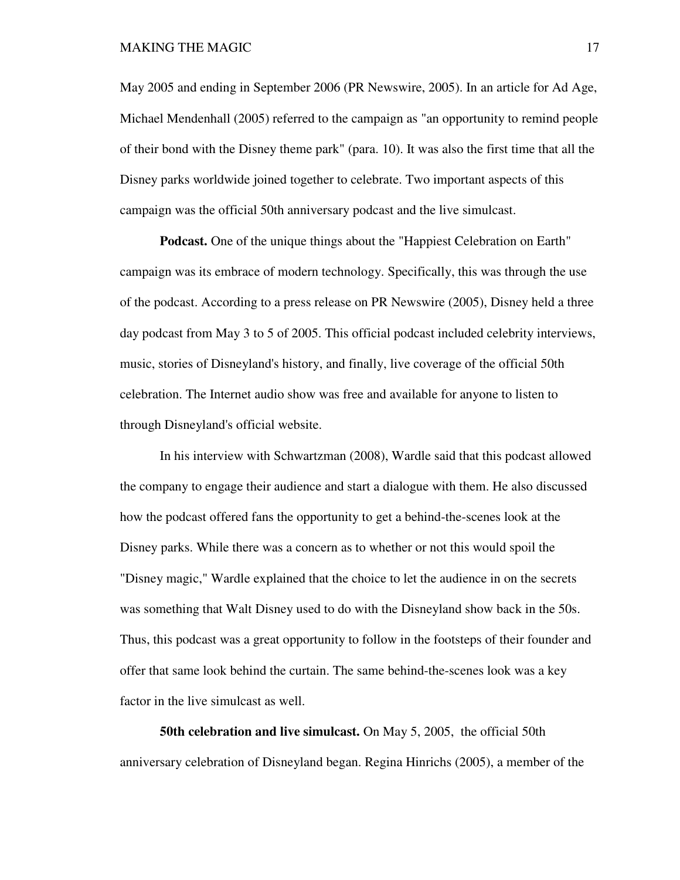#### MAKING THE MAGIC 17

May 2005 and ending in September 2006 (PR Newswire, 2005). In an article for Ad Age, Michael Mendenhall (2005) referred to the campaign as "an opportunity to remind people of their bond with the Disney theme park" (para. 10). It was also the first time that all the Disney parks worldwide joined together to celebrate. Two important aspects of this campaign was the official 50th anniversary podcast and the live simulcast.

**Podcast.** One of the unique things about the "Happiest Celebration on Earth" campaign was its embrace of modern technology. Specifically, this was through the use of the podcast. According to a press release on PR Newswire (2005), Disney held a three day podcast from May 3 to 5 of 2005. This official podcast included celebrity interviews, music, stories of Disneyland's history, and finally, live coverage of the official 50th celebration. The Internet audio show was free and available for anyone to listen to through Disneyland's official website.

 In his interview with Schwartzman (2008), Wardle said that this podcast allowed the company to engage their audience and start a dialogue with them. He also discussed how the podcast offered fans the opportunity to get a behind-the-scenes look at the Disney parks. While there was a concern as to whether or not this would spoil the "Disney magic," Wardle explained that the choice to let the audience in on the secrets was something that Walt Disney used to do with the Disneyland show back in the 50s. Thus, this podcast was a great opportunity to follow in the footsteps of their founder and offer that same look behind the curtain. The same behind-the-scenes look was a key factor in the live simulcast as well.

**50th celebration and live simulcast.** On May 5, 2005, the official 50th anniversary celebration of Disneyland began. Regina Hinrichs (2005), a member of the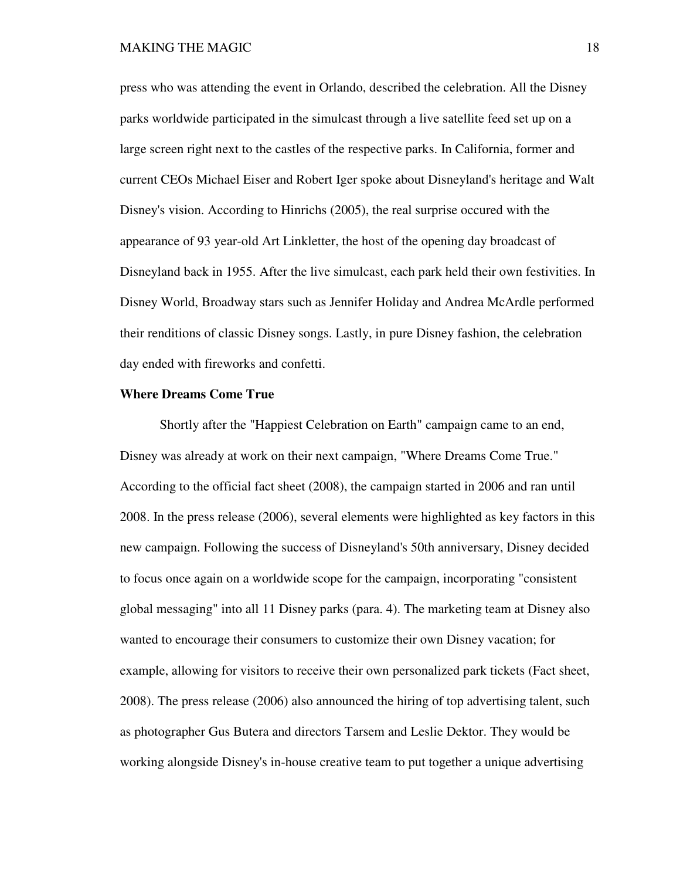press who was attending the event in Orlando, described the celebration. All the Disney parks worldwide participated in the simulcast through a live satellite feed set up on a large screen right next to the castles of the respective parks. In California, former and current CEOs Michael Eiser and Robert Iger spoke about Disneyland's heritage and Walt Disney's vision. According to Hinrichs (2005), the real surprise occured with the appearance of 93 year-old Art Linkletter, the host of the opening day broadcast of Disneyland back in 1955. After the live simulcast, each park held their own festivities. In Disney World, Broadway stars such as Jennifer Holiday and Andrea McArdle performed their renditions of classic Disney songs. Lastly, in pure Disney fashion, the celebration day ended with fireworks and confetti.

#### **Where Dreams Come True**

Shortly after the "Happiest Celebration on Earth" campaign came to an end, Disney was already at work on their next campaign, "Where Dreams Come True." According to the official fact sheet (2008), the campaign started in 2006 and ran until 2008. In the press release (2006), several elements were highlighted as key factors in this new campaign. Following the success of Disneyland's 50th anniversary, Disney decided to focus once again on a worldwide scope for the campaign, incorporating "consistent global messaging" into all 11 Disney parks (para. 4). The marketing team at Disney also wanted to encourage their consumers to customize their own Disney vacation; for example, allowing for visitors to receive their own personalized park tickets (Fact sheet, 2008). The press release (2006) also announced the hiring of top advertising talent, such as photographer Gus Butera and directors Tarsem and Leslie Dektor. They would be working alongside Disney's in-house creative team to put together a unique advertising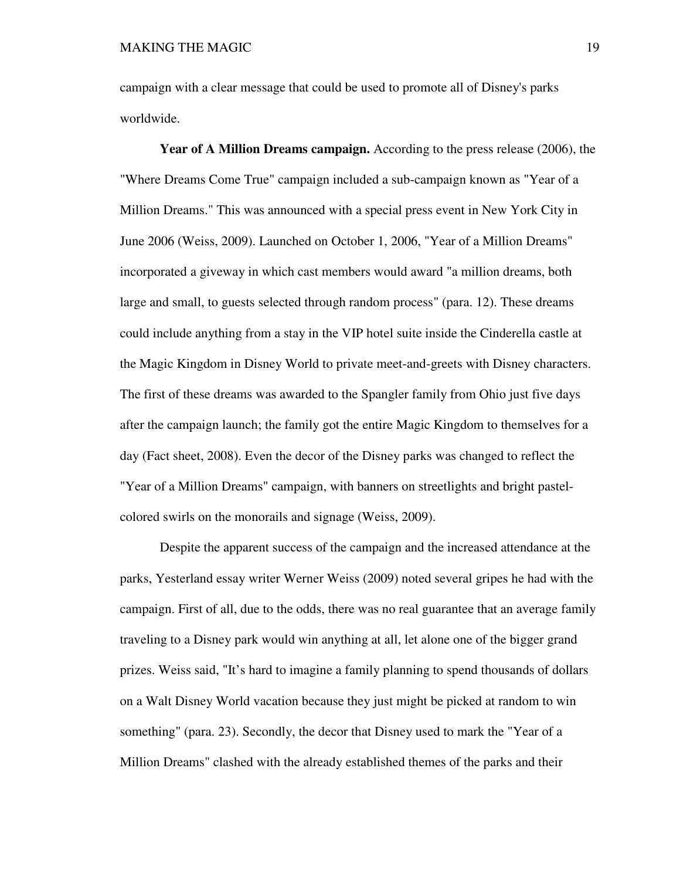campaign with a clear message that could be used to promote all of Disney's parks worldwide.

 **Year of A Million Dreams campaign.** According to the press release (2006), the "Where Dreams Come True" campaign included a sub-campaign known as "Year of a Million Dreams." This was announced with a special press event in New York City in June 2006 (Weiss, 2009). Launched on October 1, 2006, "Year of a Million Dreams" incorporated a giveway in which cast members would award "a million dreams, both large and small, to guests selected through random process" (para. 12). These dreams could include anything from a stay in the VIP hotel suite inside the Cinderella castle at the Magic Kingdom in Disney World to private meet-and-greets with Disney characters. The first of these dreams was awarded to the Spangler family from Ohio just five days after the campaign launch; the family got the entire Magic Kingdom to themselves for a day (Fact sheet, 2008). Even the decor of the Disney parks was changed to reflect the "Year of a Million Dreams" campaign, with banners on streetlights and bright pastelcolored swirls on the monorails and signage (Weiss, 2009).

 Despite the apparent success of the campaign and the increased attendance at the parks, Yesterland essay writer Werner Weiss (2009) noted several gripes he had with the campaign. First of all, due to the odds, there was no real guarantee that an average family traveling to a Disney park would win anything at all, let alone one of the bigger grand prizes. Weiss said, "It's hard to imagine a family planning to spend thousands of dollars on a Walt Disney World vacation because they just might be picked at random to win something" (para. 23). Secondly, the decor that Disney used to mark the "Year of a Million Dreams" clashed with the already established themes of the parks and their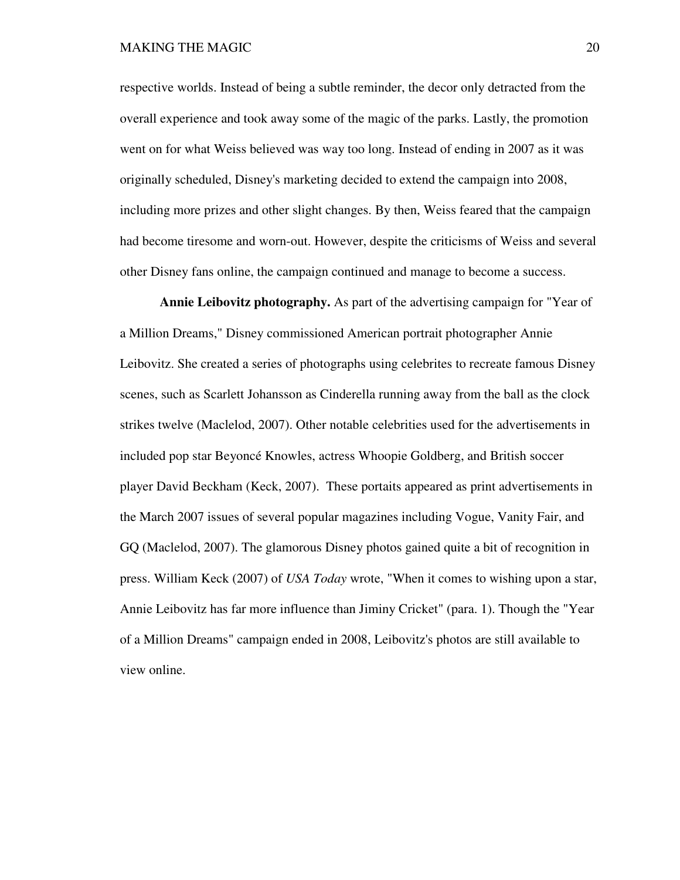respective worlds. Instead of being a subtle reminder, the decor only detracted from the overall experience and took away some of the magic of the parks. Lastly, the promotion went on for what Weiss believed was way too long. Instead of ending in 2007 as it was originally scheduled, Disney's marketing decided to extend the campaign into 2008, including more prizes and other slight changes. By then, Weiss feared that the campaign had become tiresome and worn-out. However, despite the criticisms of Weiss and several other Disney fans online, the campaign continued and manage to become a success.

 **Annie Leibovitz photography.** As part of the advertising campaign for "Year of a Million Dreams," Disney commissioned American portrait photographer Annie Leibovitz. She created a series of photographs using celebrites to recreate famous Disney scenes, such as Scarlett Johansson as Cinderella running away from the ball as the clock strikes twelve (Maclelod, 2007). Other notable celebrities used for the advertisements in included pop star Beyoncé Knowles, actress Whoopie Goldberg, and British soccer player David Beckham (Keck, 2007). These portaits appeared as print advertisements in the March 2007 issues of several popular magazines including Vogue, Vanity Fair, and GQ (Maclelod, 2007). The glamorous Disney photos gained quite a bit of recognition in press. William Keck (2007) of *USA Today* wrote, "When it comes to wishing upon a star, Annie Leibovitz has far more influence than Jiminy Cricket" (para. 1). Though the "Year of a Million Dreams" campaign ended in 2008, Leibovitz's photos are still available to view online.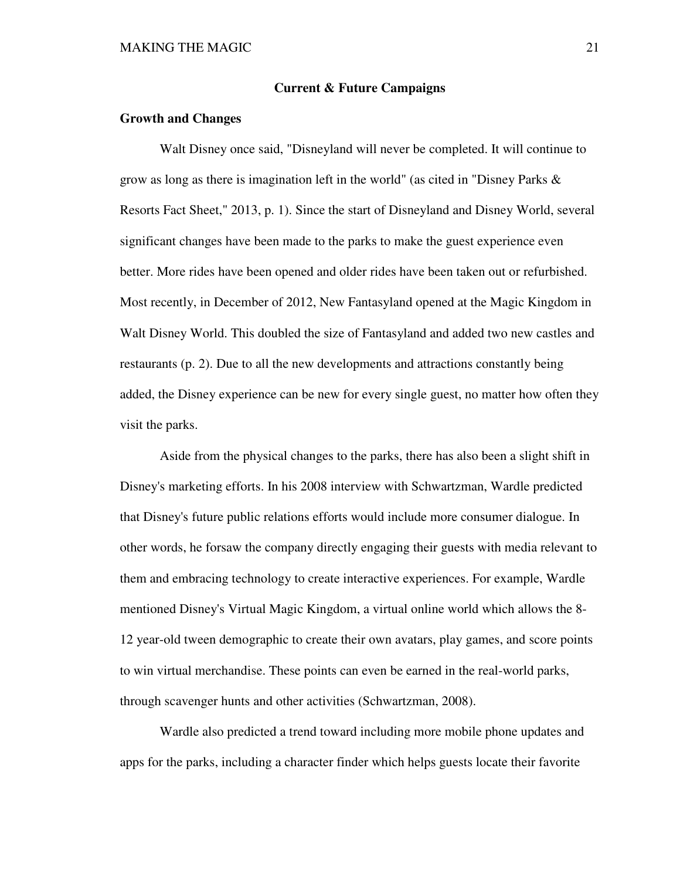### **Current & Future Campaigns**

### **Growth and Changes**

 Walt Disney once said, "Disneyland will never be completed. It will continue to grow as long as there is imagination left in the world" (as cited in "Disney Parks  $\&$ Resorts Fact Sheet," 2013, p. 1). Since the start of Disneyland and Disney World, several significant changes have been made to the parks to make the guest experience even better. More rides have been opened and older rides have been taken out or refurbished. Most recently, in December of 2012, New Fantasyland opened at the Magic Kingdom in Walt Disney World. This doubled the size of Fantasyland and added two new castles and restaurants (p. 2). Due to all the new developments and attractions constantly being added, the Disney experience can be new for every single guest, no matter how often they visit the parks.

 Aside from the physical changes to the parks, there has also been a slight shift in Disney's marketing efforts. In his 2008 interview with Schwartzman, Wardle predicted that Disney's future public relations efforts would include more consumer dialogue. In other words, he forsaw the company directly engaging their guests with media relevant to them and embracing technology to create interactive experiences. For example, Wardle mentioned Disney's Virtual Magic Kingdom, a virtual online world which allows the 8- 12 year-old tween demographic to create their own avatars, play games, and score points to win virtual merchandise. These points can even be earned in the real-world parks, through scavenger hunts and other activities (Schwartzman, 2008).

 Wardle also predicted a trend toward including more mobile phone updates and apps for the parks, including a character finder which helps guests locate their favorite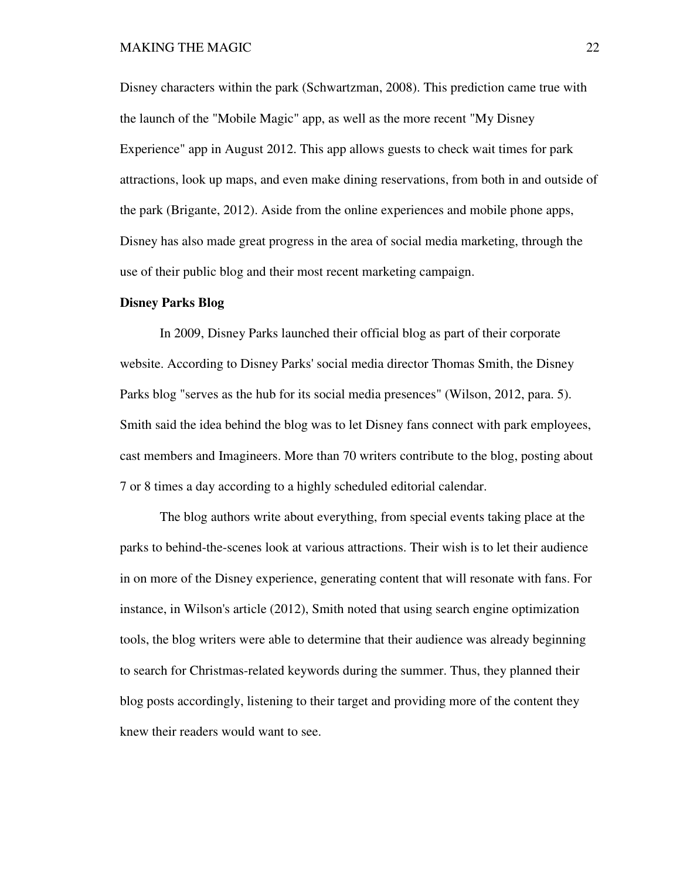Disney characters within the park (Schwartzman, 2008). This prediction came true with the launch of the "Mobile Magic" app, as well as the more recent "My Disney Experience" app in August 2012. This app allows guests to check wait times for park attractions, look up maps, and even make dining reservations, from both in and outside of the park (Brigante, 2012). Aside from the online experiences and mobile phone apps, Disney has also made great progress in the area of social media marketing, through the use of their public blog and their most recent marketing campaign.

### **Disney Parks Blog**

 In 2009, Disney Parks launched their official blog as part of their corporate website. According to Disney Parks' social media director Thomas Smith, the Disney Parks blog "serves as the hub for its social media presences" (Wilson, 2012, para. 5). Smith said the idea behind the blog was to let Disney fans connect with park employees, cast members and Imagineers. More than 70 writers contribute to the blog, posting about 7 or 8 times a day according to a highly scheduled editorial calendar.

 The blog authors write about everything, from special events taking place at the parks to behind-the-scenes look at various attractions. Their wish is to let their audience in on more of the Disney experience, generating content that will resonate with fans. For instance, in Wilson's article (2012), Smith noted that using search engine optimization tools, the blog writers were able to determine that their audience was already beginning to search for Christmas-related keywords during the summer. Thus, they planned their blog posts accordingly, listening to their target and providing more of the content they knew their readers would want to see.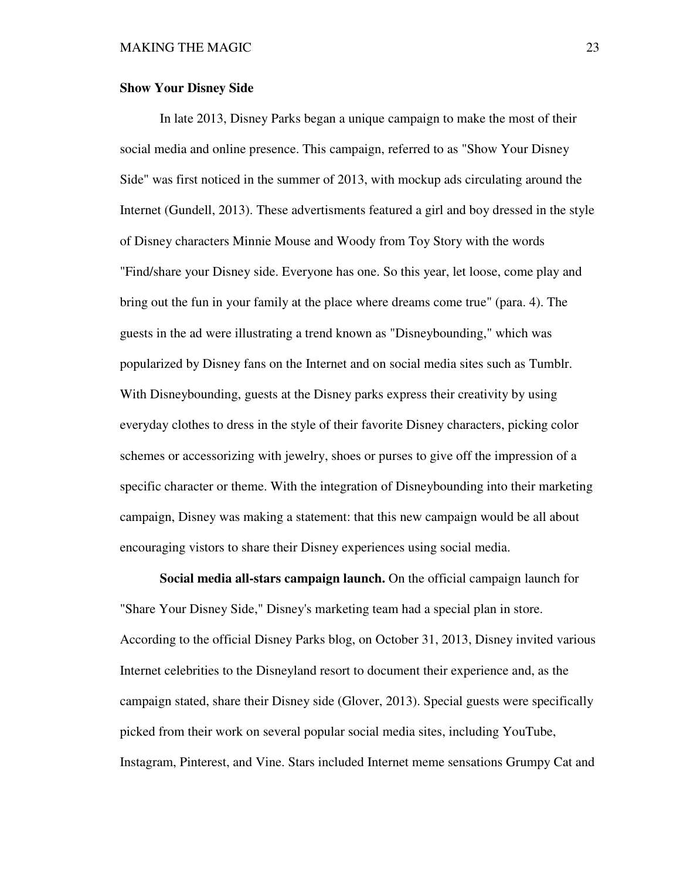### **Show Your Disney Side**

 In late 2013, Disney Parks began a unique campaign to make the most of their social media and online presence. This campaign, referred to as "Show Your Disney Side" was first noticed in the summer of 2013, with mockup ads circulating around the Internet (Gundell, 2013). These advertisments featured a girl and boy dressed in the style of Disney characters Minnie Mouse and Woody from Toy Story with the words "Find/share your Disney side. Everyone has one. So this year, let loose, come play and bring out the fun in your family at the place where dreams come true" (para. 4). The guests in the ad were illustrating a trend known as "Disneybounding," which was popularized by Disney fans on the Internet and on social media sites such as Tumblr. With Disneybounding, guests at the Disney parks express their creativity by using everyday clothes to dress in the style of their favorite Disney characters, picking color schemes or accessorizing with jewelry, shoes or purses to give off the impression of a specific character or theme. With the integration of Disneybounding into their marketing campaign, Disney was making a statement: that this new campaign would be all about encouraging vistors to share their Disney experiences using social media.

**Social media all-stars campaign launch.** On the official campaign launch for "Share Your Disney Side," Disney's marketing team had a special plan in store. According to the official Disney Parks blog, on October 31, 2013, Disney invited various Internet celebrities to the Disneyland resort to document their experience and, as the campaign stated, share their Disney side (Glover, 2013). Special guests were specifically picked from their work on several popular social media sites, including YouTube, Instagram, Pinterest, and Vine. Stars included Internet meme sensations Grumpy Cat and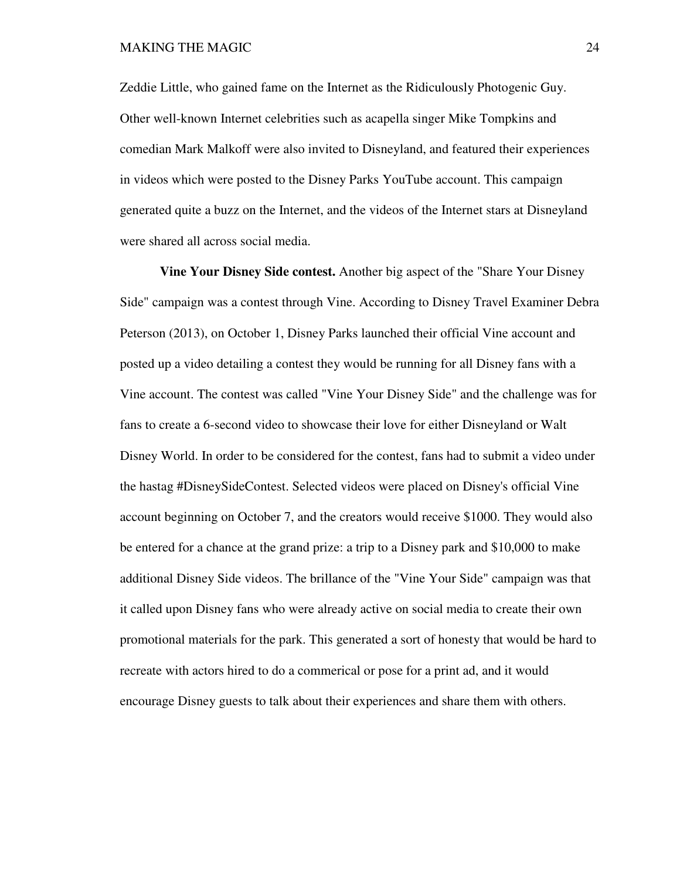#### MAKING THE MAGIC 24

Zeddie Little, who gained fame on the Internet as the Ridiculously Photogenic Guy. Other well-known Internet celebrities such as acapella singer Mike Tompkins and comedian Mark Malkoff were also invited to Disneyland, and featured their experiences in videos which were posted to the Disney Parks YouTube account. This campaign generated quite a buzz on the Internet, and the videos of the Internet stars at Disneyland were shared all across social media.

**Vine Your Disney Side contest.** Another big aspect of the "Share Your Disney Side" campaign was a contest through Vine. According to Disney Travel Examiner Debra Peterson (2013), on October 1, Disney Parks launched their official Vine account and posted up a video detailing a contest they would be running for all Disney fans with a Vine account. The contest was called "Vine Your Disney Side" and the challenge was for fans to create a 6-second video to showcase their love for either Disneyland or Walt Disney World. In order to be considered for the contest, fans had to submit a video under the hastag #DisneySideContest. Selected videos were placed on Disney's official Vine account beginning on October 7, and the creators would receive \$1000. They would also be entered for a chance at the grand prize: a trip to a Disney park and \$10,000 to make additional Disney Side videos. The brillance of the "Vine Your Side" campaign was that it called upon Disney fans who were already active on social media to create their own promotional materials for the park. This generated a sort of honesty that would be hard to recreate with actors hired to do a commerical or pose for a print ad, and it would encourage Disney guests to talk about their experiences and share them with others.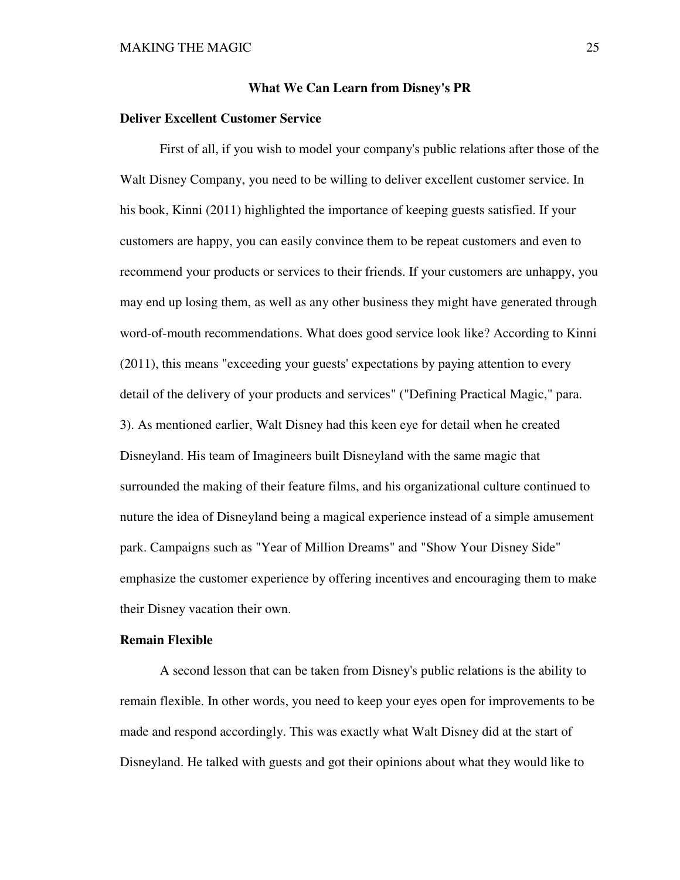### **What We Can Learn from Disney's PR**

### **Deliver Excellent Customer Service**

 First of all, if you wish to model your company's public relations after those of the Walt Disney Company, you need to be willing to deliver excellent customer service. In his book, Kinni (2011) highlighted the importance of keeping guests satisfied. If your customers are happy, you can easily convince them to be repeat customers and even to recommend your products or services to their friends. If your customers are unhappy, you may end up losing them, as well as any other business they might have generated through word-of-mouth recommendations. What does good service look like? According to Kinni (2011), this means "exceeding your guests' expectations by paying attention to every detail of the delivery of your products and services" ("Defining Practical Magic," para. 3). As mentioned earlier, Walt Disney had this keen eye for detail when he created Disneyland. His team of Imagineers built Disneyland with the same magic that surrounded the making of their feature films, and his organizational culture continued to nuture the idea of Disneyland being a magical experience instead of a simple amusement park. Campaigns such as "Year of Million Dreams" and "Show Your Disney Side" emphasize the customer experience by offering incentives and encouraging them to make their Disney vacation their own.

### **Remain Flexible**

 A second lesson that can be taken from Disney's public relations is the ability to remain flexible. In other words, you need to keep your eyes open for improvements to be made and respond accordingly. This was exactly what Walt Disney did at the start of Disneyland. He talked with guests and got their opinions about what they would like to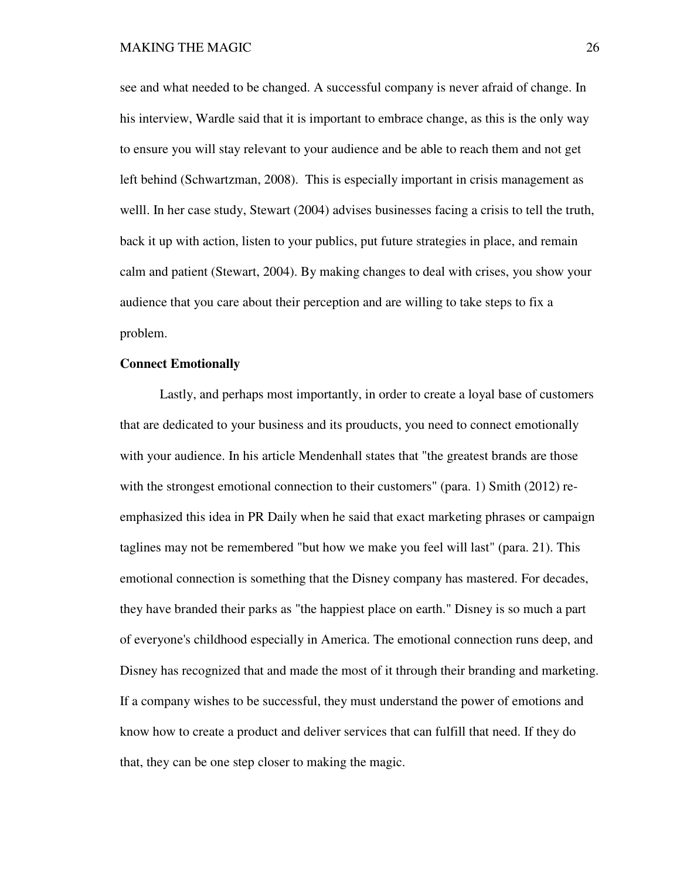see and what needed to be changed. A successful company is never afraid of change. In his interview, Wardle said that it is important to embrace change, as this is the only way to ensure you will stay relevant to your audience and be able to reach them and not get left behind (Schwartzman, 2008). This is especially important in crisis management as welll. In her case study, Stewart (2004) advises businesses facing a crisis to tell the truth, back it up with action, listen to your publics, put future strategies in place, and remain calm and patient (Stewart, 2004). By making changes to deal with crises, you show your audience that you care about their perception and are willing to take steps to fix a problem.

# **Connect Emotionally**

 Lastly, and perhaps most importantly, in order to create a loyal base of customers that are dedicated to your business and its prouducts, you need to connect emotionally with your audience. In his article Mendenhall states that "the greatest brands are those with the strongest emotional connection to their customers" (para. 1) Smith (2012) reemphasized this idea in PR Daily when he said that exact marketing phrases or campaign taglines may not be remembered "but how we make you feel will last" (para. 21). This emotional connection is something that the Disney company has mastered. For decades, they have branded their parks as "the happiest place on earth." Disney is so much a part of everyone's childhood especially in America. The emotional connection runs deep, and Disney has recognized that and made the most of it through their branding and marketing. If a company wishes to be successful, they must understand the power of emotions and know how to create a product and deliver services that can fulfill that need. If they do that, they can be one step closer to making the magic.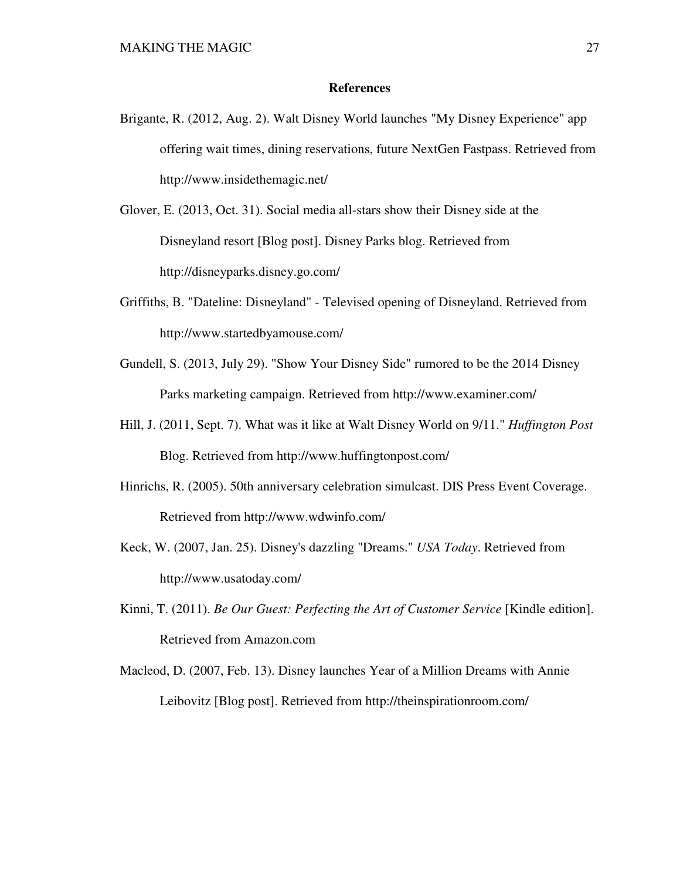## **References**

- Brigante, R. (2012, Aug. 2). Walt Disney World launches "My Disney Experience" app offering wait times, dining reservations, future NextGen Fastpass. Retrieved from http://www.insidethemagic.net/
- Glover, E. (2013, Oct. 31). Social media all-stars show their Disney side at the Disneyland resort [Blog post]. Disney Parks blog. Retrieved from http://disneyparks.disney.go.com/
- Griffiths, B. "Dateline: Disneyland" Televised opening of Disneyland. Retrieved from http://www.startedbyamouse.com/
- Gundell, S. (2013, July 29). "Show Your Disney Side" rumored to be the 2014 Disney Parks marketing campaign. Retrieved from http://www.examiner.com/
- Hill, J. (2011, Sept. 7). What was it like at Walt Disney World on 9/11." *Huffington Post* Blog. Retrieved from http://www.huffingtonpost.com/
- Hinrichs, R. (2005). 50th anniversary celebration simulcast. DIS Press Event Coverage. Retrieved from http://www.wdwinfo.com/
- Keck, W. (2007, Jan. 25). Disney's dazzling "Dreams." *USA Today*. Retrieved from http://www.usatoday.com/
- Kinni, T. (2011). *Be Our Guest: Perfecting the Art of Customer Service* [Kindle edition]. Retrieved from Amazon.com
- Macleod, D. (2007, Feb. 13). Disney launches Year of a Million Dreams with Annie Leibovitz [Blog post]. Retrieved from http://theinspirationroom.com/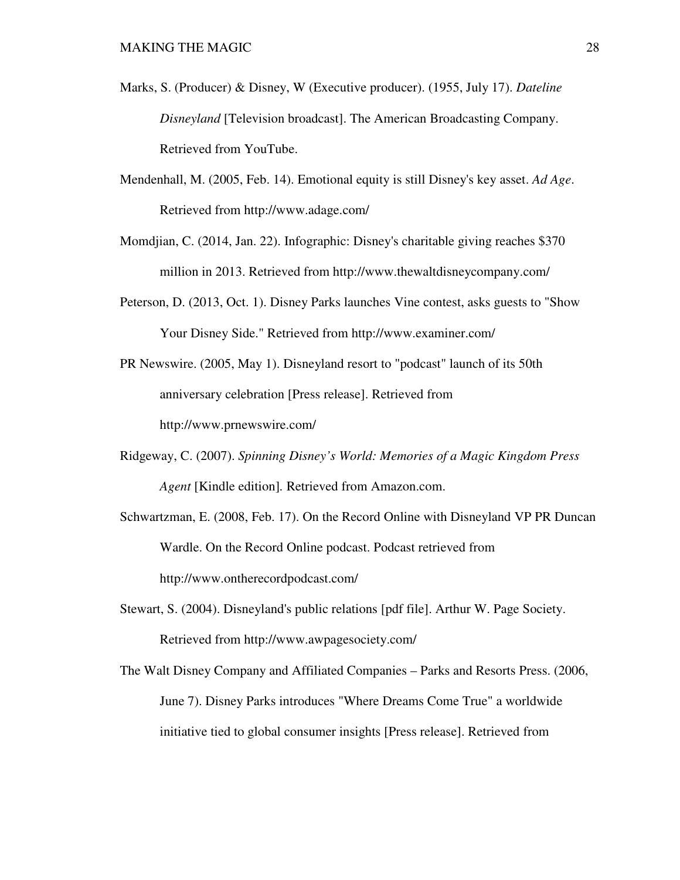- Marks, S. (Producer) & Disney, W (Executive producer). (1955, July 17). *Dateline Disneyland* [Television broadcast]. The American Broadcasting Company. Retrieved from YouTube.
- Mendenhall, M. (2005, Feb. 14). Emotional equity is still Disney's key asset. *Ad Age*. Retrieved from http://www.adage.com/
- Momdjian, C. (2014, Jan. 22). Infographic: Disney's charitable giving reaches \$370 million in 2013. Retrieved from http://www.thewaltdisneycompany.com/
- Peterson, D. (2013, Oct. 1). Disney Parks launches Vine contest, asks guests to "Show Your Disney Side." Retrieved from http://www.examiner.com/
- PR Newswire. (2005, May 1). Disneyland resort to "podcast" launch of its 50th anniversary celebration [Press release]. Retrieved from http://www.prnewswire.com/
- Ridgeway, C. (2007). *Spinning Disney's World: Memories of a Magic Kingdom Press Agent* [Kindle edition]*.* Retrieved from Amazon.com.
- Schwartzman, E. (2008, Feb. 17). On the Record Online with Disneyland VP PR Duncan Wardle. On the Record Online podcast. Podcast retrieved from http://www.ontherecordpodcast.com/
- Stewart, S. (2004). Disneyland's public relations [pdf file]. Arthur W. Page Society. Retrieved from http://www.awpagesociety.com/
- The Walt Disney Company and Affiliated Companies Parks and Resorts Press. (2006, June 7). Disney Parks introduces "Where Dreams Come True" a worldwide initiative tied to global consumer insights [Press release]. Retrieved from